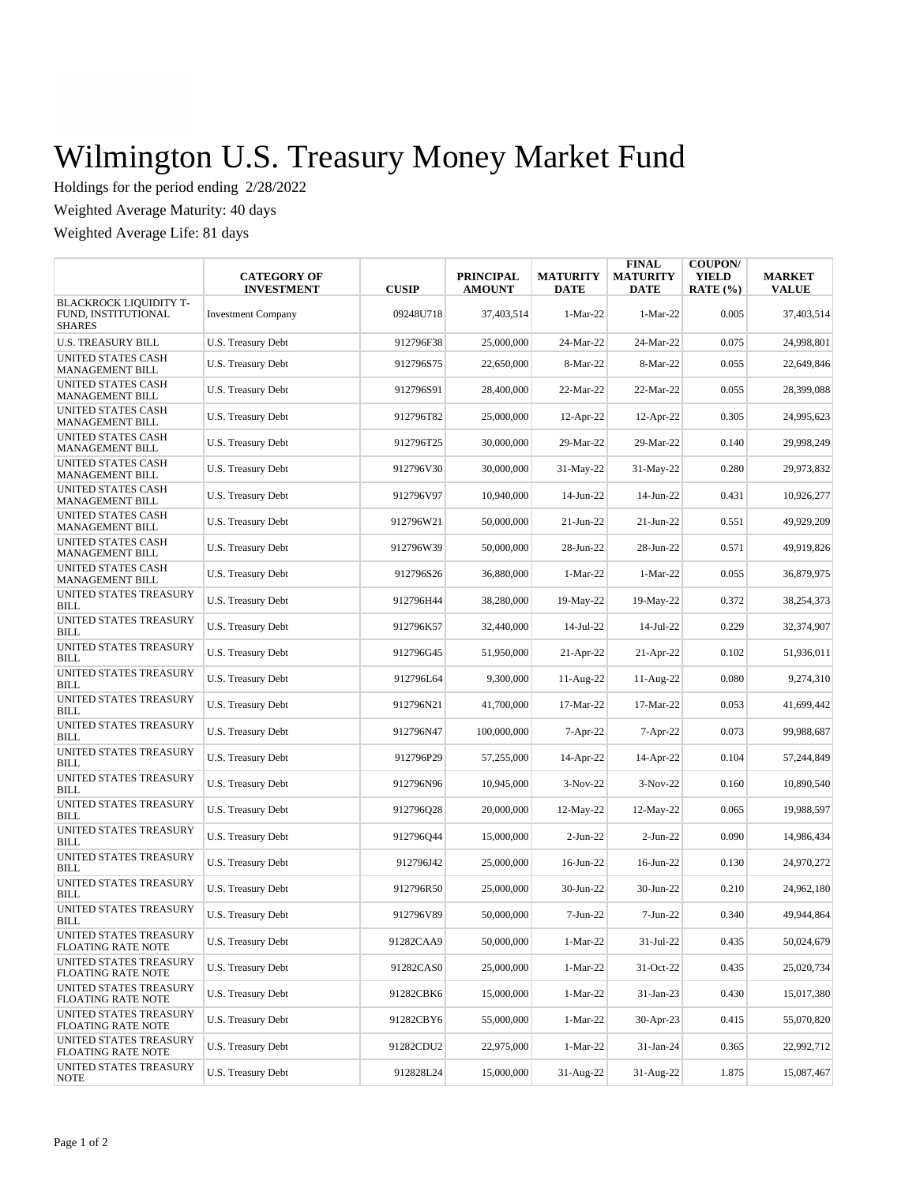## Wilmington U.S. Treasury Money Market Fund

Holdings for the period ending 2/28/2022

Weighted Average Maturity: 40 days

Weighted Average Life: 81 days

|                                                                | <b>CATEGORY OF</b><br><b>INVESTMENT</b> | <b>CUSIP</b> | <b>PRINCIPAL</b><br><b>AMOUNT</b> | <b>MATURITY</b><br><b>DATE</b> | <b>FINAL</b><br><b>MATURITY</b><br>DATE | <b>COUPON/</b><br><b>YIELD</b><br>RATE $(\% )$ | <b>MARKET</b><br><b>VALUE</b> |
|----------------------------------------------------------------|-----------------------------------------|--------------|-----------------------------------|--------------------------------|-----------------------------------------|------------------------------------------------|-------------------------------|
| BLACKROCK LIQUIDITY T-<br>FUND, INSTITUTIONAL<br><b>SHARES</b> | <b>Investment Company</b>               | 09248U718    | 37,403,514                        | $1-Mar-22$                     | 1-Mar-22                                | 0.005                                          | 37,403,514                    |
| <b>U.S. TREASURY BILL</b>                                      | U.S. Treasury Debt                      | 912796F38    | 25,000,000                        | 24-Mar-22                      | 24-Mar-22                               | 0.075                                          | 24.998.801                    |
| UNITED STATES CASH<br>MANAGEMENT BILL                          | U.S. Treasury Debt                      | 912796S75    | 22,650,000                        | 8-Mar-22                       | 8-Mar-22                                | 0.055                                          | 22,649,846                    |
| UNITED STATES CASH<br>MANAGEMENT BILL                          | U.S. Treasury Debt                      | 912796S91    | 28,400,000                        | 22-Mar-22                      | 22-Mar-22                               | 0.055                                          | 28,399,088                    |
| UNITED STATES CASH<br>MANAGEMENT BILL                          | U.S. Treasury Debt                      | 912796T82    | 25,000,000                        | $12-Apr-22$                    | $12-Apr-22$                             | 0.305                                          | 24,995,623                    |
| UNITED STATES CASH<br><b>MANAGEMENT BILL</b>                   | U.S. Treasury Debt                      | 912796T25    | 30,000,000                        | 29-Mar-22                      | 29-Mar-22                               | 0.140                                          | 29,998,249                    |
| UNITED STATES CASH<br>MANAGEMENT BILL                          | U.S. Treasury Debt                      | 912796V30    | 30,000,000                        | 31-May-22                      | $31-May-22$                             | 0.280                                          | 29,973,832                    |
| UNITED STATES CASH<br>MANAGEMENT BILL                          | U.S. Treasury Debt                      | 912796V97    | 10,940,000                        | 14-Jun-22                      | 14-Jun-22                               | 0.431                                          | 10,926,277                    |
| UNITED STATES CASH<br>MANAGEMENT BILL                          | U.S. Treasury Debt                      | 912796W21    | 50,000,000                        | $21-Jun-22$                    | $21$ -Jun- $22$                         | 0.551                                          | 49,929,209                    |
| UNITED STATES CASH<br>MANAGEMENT BILL                          | <b>U.S. Treasury Debt</b>               | 912796W39    | 50,000,000                        | 28-Jun-22                      | 28-Jun-22                               | 0.571                                          | 49,919,826                    |
| <b>UNITED STATES CASH</b><br>MANAGEMENT BILL                   | U.S. Treasury Debt                      | 912796S26    | 36,880,000                        | $1-Mar-22$                     | $1-Mar-22$                              | 0.055                                          | 36,879,975                    |
| UNITED STATES TREASURY<br>BILL                                 | <b>U.S. Treasury Debt</b>               | 912796H44    | 38,280,000                        | 19-May-22                      | 19-May-22                               | 0.372                                          | 38,254,373                    |
| UNITED STATES TREASURY<br>BILL                                 | U.S. Treasury Debt                      | 912796K57    | 32,440,000                        | $14$ -Jul-22                   | 14-Jul-22                               | 0.229                                          | 32,374,907                    |
| UNITED STATES TREASURY<br>BILL                                 | U.S. Treasury Debt                      | 912796G45    | 51,950,000                        | $21-Apr-22$                    | $21-Apr-22$                             | 0.102                                          | 51,936,011                    |
| UNITED STATES TREASURY<br>BILL                                 | <b>U.S. Treasury Debt</b>               | 912796L64    | 9,300,000                         | $11-Aug-22$                    | 11-Aug-22                               | 0.080                                          | 9,274,310                     |
| UNITED STATES TREASURY<br>BILL                                 | U.S. Treasury Debt                      | 912796N21    | 41,700,000                        | 17-Mar-22                      | 17-Mar-22                               | 0.053                                          | 41,699,442                    |
| UNITED STATES TREASURY<br>BILL                                 | U.S. Treasury Debt                      | 912796N47    | 100,000,000                       | 7-Apr-22                       | 7-Apr-22                                | 0.073                                          | 99,988,687                    |
| UNITED STATES TREASURY<br><b>BILL</b>                          | U.S. Treasury Debt                      | 912796P29    | 57,255,000                        | 14-Apr-22                      | 14-Apr-22                               | 0.104                                          | 57,244,849                    |
| UNITED STATES TREASURY<br>BILL                                 | U.S. Treasury Debt                      | 912796N96    | 10,945,000                        | $3-Nov-22$                     | $3-Nov-22$                              | 0.160                                          | 10,890,540                    |
| UNITED STATES TREASURY<br><b>BILL</b>                          | U.S. Treasury Debt                      | 912796Q28    | 20,000,000                        | $12$ -May-22                   | 12-May-22                               | 0.065                                          | 19,988,597                    |
| UNITED STATES TREASURY<br><b>BILL</b>                          | U.S. Treasury Debt                      | 912796044    | 15,000,000                        | $2-Jun-22$                     | $2-Jun-22$                              | 0.090                                          | 14,986,434                    |
| UNITED STATES TREASURY<br>BILL                                 | U.S. Treasury Debt                      | 912796J42    | 25,000,000                        | 16-Jun-22                      | 16-Jun-22                               | 0.130                                          | 24,970,272                    |
| UNITED STATES TREASURY<br>BILL                                 | U.S. Treasury Debt                      | 912796R50    | 25,000,000                        | 30-Jun-22                      | 30-Jun-22                               | 0.210                                          | 24,962,180                    |
| UNITED STATES TREASURY<br>BILL                                 | U.S. Treasury Debt                      | 912796V89    | 50,000,000                        | $7-Jun-22$                     | $7-Jun-22$                              | 0.340                                          | 49,944,864                    |
| UNITED STATES TREASURY<br>FLOATING RATE NOTE                   | U.S. Treasury Debt                      | 91282CAA9    | 50,000,000                        | 1-Mar-22                       | 31-Jul-22                               | 0.435                                          | 50,024,679                    |
| UNITED STATES TREASURY<br>FLOATING RATE NOTE                   | U.S. Treasury Debt                      | 91282CAS0    | 25,000,000                        | 1-Mar-22                       | 31-Oct-22                               | 0.435                                          | 25,020,734                    |
| UNITED STATES TREASURY<br>FLOATING RATE NOTE                   | U.S. Treasury Debt                      | 91282CBK6    | 15,000,000                        | $1-Mar-22$                     | 31-Jan-23                               | 0.430                                          | 15,017,380                    |
| UNITED STATES TREASURY<br>FLOATING RATE NOTE                   | U.S. Treasury Debt                      | 91282CBY6    | 55,000,000                        | $1-Mar-22$                     | 30-Apr-23                               | 0.415                                          | 55,070,820                    |
| UNITED STATES TREASURY<br>FLOATING RATE NOTE                   | U.S. Treasury Debt                      | 91282CDU2    | 22,975,000                        | $1-Mar-22$                     | 31-Jan-24                               | 0.365                                          | 22,992,712                    |
| UNITED STATES TREASURY<br><b>NOTE</b>                          | U.S. Treasury Debt                      | 912828L24    | 15,000,000                        | 31-Aug-22                      | 31-Aug-22                               | 1.875                                          | 15,087,467                    |